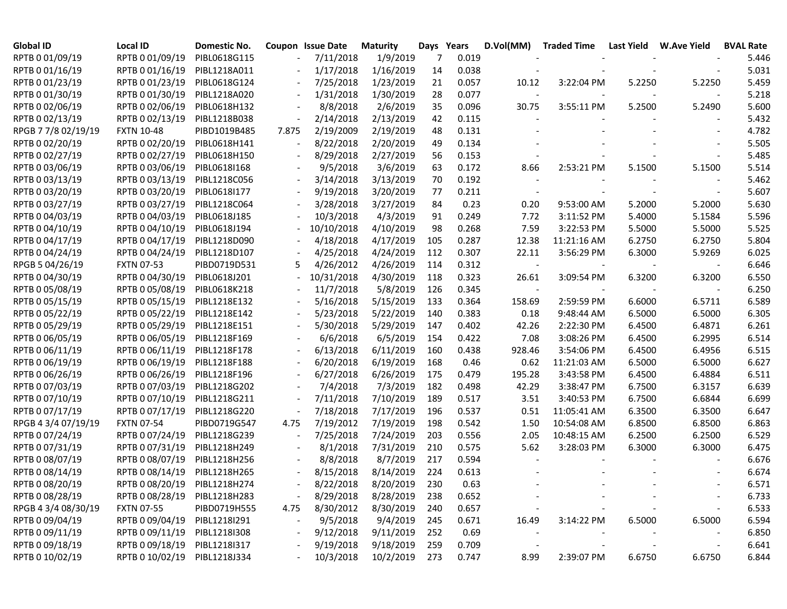| <b>Global ID</b>    | <b>Local ID</b>   | Domestic No. |                          | <b>Coupon Issue Date</b> | <b>Maturity</b> |     | Days Years | D.Vol(MM)                | <b>Traded Time</b> |        | Last Yield W.Ave Yield | <b>BVAL Rate</b> |
|---------------------|-------------------|--------------|--------------------------|--------------------------|-----------------|-----|------------|--------------------------|--------------------|--------|------------------------|------------------|
| RPTB 0 01/09/19     | RPTB 0 01/09/19   | PIBL0618G115 |                          | 7/11/2018                | 1/9/2019        | 7   | 0.019      |                          |                    |        |                        | 5.446            |
| RPTB 0 01/16/19     | RPTB 0 01/16/19   | PIBL1218A011 |                          | 1/17/2018                | 1/16/2019       | 14  | 0.038      |                          |                    |        |                        | 5.031            |
| RPTB 0 01/23/19     | RPTB 0 01/23/19   | PIBL0618G124 |                          | 7/25/2018                | 1/23/2019       | 21  | 0.057      | 10.12                    | 3:22:04 PM         | 5.2250 | 5.2250                 | 5.459            |
| RPTB 0 01/30/19     | RPTB 0 01/30/19   | PIBL1218A020 |                          | 1/31/2018                | 1/30/2019       | 28  | 0.077      | $\overline{\phantom{a}}$ |                    |        |                        | 5.218            |
| RPTB 0 02/06/19     | RPTB 0 02/06/19   | PIBL0618H132 |                          | 8/8/2018                 | 2/6/2019        | 35  | 0.096      | 30.75                    | 3:55:11 PM         | 5.2500 | 5.2490                 | 5.600            |
| RPTB 0 02/13/19     | RPTB 0 02/13/19   | PIBL1218B038 | $\overline{\phantom{a}}$ | 2/14/2018                | 2/13/2019       | 42  | 0.115      |                          |                    |        |                        | 5.432            |
| RPGB 7 7/8 02/19/19 | <b>FXTN 10-48</b> | PIBD1019B485 | 7.875                    | 2/19/2009                | 2/19/2019       | 48  | 0.131      |                          |                    |        |                        | 4.782            |
| RPTB 0 02/20/19     | RPTB 0 02/20/19   | PIBL0618H141 | $\overline{\phantom{a}}$ | 8/22/2018                | 2/20/2019       | 49  | 0.134      |                          |                    |        |                        | 5.505            |
| RPTB 0 02/27/19     | RPTB 0 02/27/19   | PIBL0618H150 | $\overline{\phantom{a}}$ | 8/29/2018                | 2/27/2019       | 56  | 0.153      |                          |                    |        |                        | 5.485            |
| RPTB 0 03/06/19     | RPTB 0 03/06/19   | PIBL0618I168 | $\overline{\phantom{a}}$ | 9/5/2018                 | 3/6/2019        | 63  | 0.172      | 8.66                     | 2:53:21 PM         | 5.1500 | 5.1500                 | 5.514            |
| RPTB 0 03/13/19     | RPTB 0 03/13/19   | PIBL1218C056 | $\overline{\phantom{a}}$ | 3/14/2018                | 3/13/2019       | 70  | 0.192      |                          |                    |        |                        | 5.462            |
| RPTB 0 03/20/19     | RPTB 0 03/20/19   | PIBL0618I177 | $\overline{\phantom{a}}$ | 9/19/2018                | 3/20/2019       | 77  | 0.211      |                          |                    |        |                        | 5.607            |
| RPTB 0 03/27/19     | RPTB 0 03/27/19   | PIBL1218C064 | $\overline{\phantom{a}}$ | 3/28/2018                | 3/27/2019       | 84  | 0.23       | 0.20                     | 9:53:00 AM         | 5.2000 | 5.2000                 | 5.630            |
| RPTB 0 04/03/19     | RPTB 0 04/03/19   | PIBL0618J185 |                          | 10/3/2018                | 4/3/2019        | 91  | 0.249      | 7.72                     | 3:11:52 PM         | 5.4000 | 5.1584                 | 5.596            |
| RPTB 0 04/10/19     | RPTB 0 04/10/19   | PIBL0618J194 |                          | 10/10/2018               | 4/10/2019       | 98  | 0.268      | 7.59                     | 3:22:53 PM         | 5.5000 | 5.5000                 | 5.525            |
| RPTB 0 04/17/19     | RPTB 0 04/17/19   | PIBL1218D090 |                          | 4/18/2018                | 4/17/2019       | 105 | 0.287      | 12.38                    | 11:21:16 AM        | 6.2750 | 6.2750                 | 5.804            |
| RPTB 0 04/24/19     | RPTB 0 04/24/19   | PIBL1218D107 |                          | 4/25/2018                | 4/24/2019       | 112 | 0.307      | 22.11                    | 3:56:29 PM         | 6.3000 | 5.9269                 | 6.025            |
| RPGB 5 04/26/19     | <b>FXTN 07-53</b> | PIBD0719D531 | 5.                       | 4/26/2012                | 4/26/2019       | 114 | 0.312      | $\overline{\phantom{a}}$ |                    |        |                        | 6.646            |
| RPTB 0 04/30/19     | RPTB 0 04/30/19   | PIBL0618J201 |                          | 10/31/2018               | 4/30/2019       | 118 | 0.323      | 26.61                    | 3:09:54 PM         | 6.3200 | 6.3200                 | 6.550            |
| RPTB 0 05/08/19     | RPTB 0 05/08/19   | PIBL0618K218 |                          | 11/7/2018                | 5/8/2019        | 126 | 0.345      | $\sim$                   |                    |        |                        | 6.250            |
| RPTB 0 05/15/19     | RPTB 0 05/15/19   | PIBL1218E132 |                          | 5/16/2018                | 5/15/2019       | 133 | 0.364      | 158.69                   | 2:59:59 PM         | 6.6000 | 6.5711                 | 6.589            |
| RPTB 0 05/22/19     | RPTB 0 05/22/19   | PIBL1218E142 |                          | 5/23/2018                | 5/22/2019       | 140 | 0.383      | 0.18                     | 9:48:44 AM         | 6.5000 | 6.5000                 | 6.305            |
| RPTB 0 05/29/19     | RPTB 0 05/29/19   | PIBL1218E151 |                          | 5/30/2018                | 5/29/2019       | 147 | 0.402      | 42.26                    | 2:22:30 PM         | 6.4500 | 6.4871                 | 6.261            |
| RPTB 0 06/05/19     | RPTB 0 06/05/19   | PIBL1218F169 |                          | 6/6/2018                 | 6/5/2019        | 154 | 0.422      | 7.08                     | 3:08:26 PM         | 6.4500 | 6.2995                 | 6.514            |
| RPTB 0 06/11/19     | RPTB 0 06/11/19   | PIBL1218F178 |                          | 6/13/2018                | 6/11/2019       | 160 | 0.438      | 928.46                   | 3:54:06 PM         | 6.4500 | 6.4956                 | 6.515            |
| RPTB 0 06/19/19     | RPTB 0 06/19/19   | PIBL1218F188 |                          | 6/20/2018                | 6/19/2019       | 168 | 0.46       | 0.62                     | 11:21:03 AM        | 6.5000 | 6.5000                 | 6.627            |
| RPTB 0 06/26/19     | RPTB 0 06/26/19   | PIBL1218F196 |                          | 6/27/2018                | 6/26/2019       | 175 | 0.479      | 195.28                   | 3:43:58 PM         | 6.4500 | 6.4884                 | 6.511            |
| RPTB 0 07/03/19     | RPTB 0 07/03/19   | PIBL1218G202 |                          | 7/4/2018                 | 7/3/2019        | 182 | 0.498      | 42.29                    | 3:38:47 PM         | 6.7500 | 6.3157                 | 6.639            |
| RPTB 0 07/10/19     | RPTB 0 07/10/19   | PIBL1218G211 |                          | 7/11/2018                | 7/10/2019       | 189 | 0.517      | 3.51                     | 3:40:53 PM         | 6.7500 | 6.6844                 | 6.699            |
| RPTB 0 07/17/19     | RPTB 0 07/17/19   | PIBL1218G220 |                          | 7/18/2018                | 7/17/2019       | 196 | 0.537      | 0.51                     | 11:05:41 AM        | 6.3500 | 6.3500                 | 6.647            |
| RPGB 4 3/4 07/19/19 | <b>FXTN 07-54</b> | PIBD0719G547 | 4.75                     | 7/19/2012                | 7/19/2019       | 198 | 0.542      | 1.50                     | 10:54:08 AM        | 6.8500 | 6.8500                 | 6.863            |
| RPTB 0 07/24/19     | RPTB 0 07/24/19   | PIBL1218G239 | $\overline{\phantom{a}}$ | 7/25/2018                | 7/24/2019       | 203 | 0.556      | 2.05                     | 10:48:15 AM        | 6.2500 | 6.2500                 | 6.529            |
| RPTB 0 07/31/19     | RPTB 0 07/31/19   | PIBL1218H249 | $\overline{\phantom{a}}$ | 8/1/2018                 | 7/31/2019       | 210 | 0.575      | 5.62                     | 3:28:03 PM         | 6.3000 | 6.3000                 | 6.475            |
| RPTB 0 08/07/19     | RPTB 0 08/07/19   | PIBL1218H256 |                          | 8/8/2018                 | 8/7/2019        | 217 | 0.594      |                          |                    |        |                        | 6.676            |
| RPTB 0 08/14/19     | RPTB 0 08/14/19   | PIBL1218H265 |                          | 8/15/2018                | 8/14/2019       | 224 | 0.613      |                          |                    |        |                        | 6.674            |
| RPTB 0 08/20/19     | RPTB 0 08/20/19   | PIBL1218H274 |                          | 8/22/2018                | 8/20/2019       | 230 | 0.63       |                          |                    |        |                        | 6.571            |
| RPTB 0 08/28/19     | RPTB 0 08/28/19   | PIBL1218H283 |                          | 8/29/2018                | 8/28/2019       | 238 | 0.652      |                          |                    |        |                        | 6.733            |
| RPGB 4 3/4 08/30/19 | <b>FXTN 07-55</b> | PIBD0719H555 | 4.75                     | 8/30/2012                | 8/30/2019       | 240 | 0.657      |                          |                    |        |                        | 6.533            |
| RPTB 0 09/04/19     | RPTB 0 09/04/19   | PIBL1218I291 |                          | 9/5/2018                 | 9/4/2019        | 245 | 0.671      | 16.49                    | 3:14:22 PM         | 6.5000 | 6.5000                 | 6.594            |
| RPTB 0 09/11/19     | RPTB 0 09/11/19   | PIBL1218I308 | $\overline{\phantom{a}}$ | 9/12/2018                | 9/11/2019       | 252 | 0.69       |                          |                    |        |                        | 6.850            |
| RPTB 0 09/18/19     | RPTB 0 09/18/19   | PIBL1218I317 |                          | 9/19/2018                | 9/18/2019       | 259 | 0.709      |                          |                    |        |                        | 6.641            |
| RPTB 0 10/02/19     | RPTB 0 10/02/19   | PIBL1218J334 |                          | 10/3/2018                | 10/2/2019       | 273 | 0.747      | 8.99                     | 2:39:07 PM         | 6.6750 | 6.6750                 | 6.844            |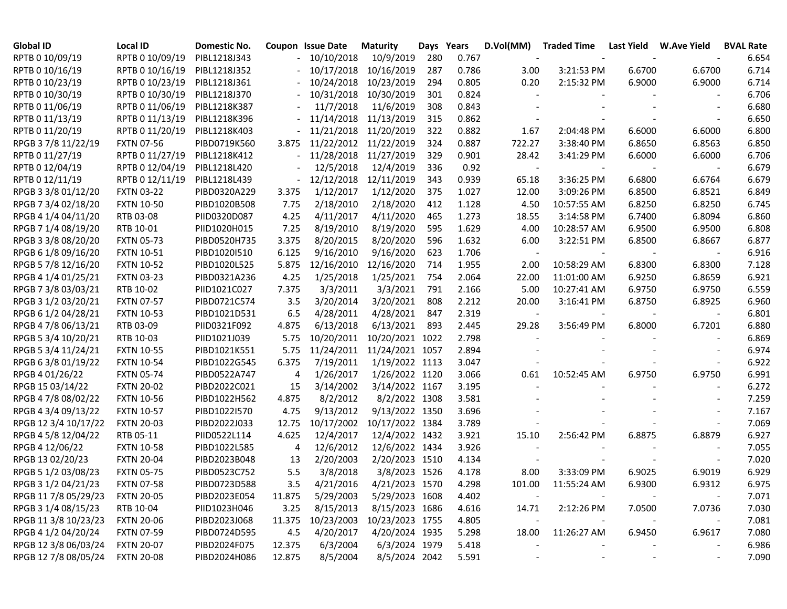| <b>Global ID</b>     | Local ID          | Domestic No. |                          | Coupon Issue Date | <b>Maturity</b>       |     | Days Years | D.Vol(MM)                | <b>Traded Time</b> | <b>Last Yield</b> | W.Ave Yield              | <b>BVAL Rate</b> |
|----------------------|-------------------|--------------|--------------------------|-------------------|-----------------------|-----|------------|--------------------------|--------------------|-------------------|--------------------------|------------------|
| RPTB 0 10/09/19      | RPTB 0 10/09/19   | PIBL1218J343 |                          | 10/10/2018        | 10/9/2019             | 280 | 0.767      | $\overline{\phantom{a}}$ |                    |                   |                          | 6.654            |
| RPTB 0 10/16/19      | RPTB 0 10/16/19   | PIBL1218J352 |                          | 10/17/2018        | 10/16/2019            | 287 | 0.786      | 3.00                     | 3:21:53 PM         | 6.6700            | 6.6700                   | 6.714            |
| RPTB 0 10/23/19      | RPTB 0 10/23/19   | PIBL1218J361 |                          | 10/24/2018        | 10/23/2019            | 294 | 0.805      | 0.20                     | 2:15:32 PM         | 6.9000            | 6.9000                   | 6.714            |
| RPTB 0 10/30/19      | RPTB 0 10/30/19   | PIBL1218J370 |                          | 10/31/2018        | 10/30/2019            | 301 | 0.824      |                          |                    |                   |                          | 6.706            |
| RPTB 0 11/06/19      | RPTB 0 11/06/19   | PIBL1218K387 |                          | 11/7/2018         | 11/6/2019             | 308 | 0.843      |                          |                    |                   |                          | 6.680            |
| RPTB 0 11/13/19      | RPTB 0 11/13/19   | PIBL1218K396 |                          |                   | 11/14/2018 11/13/2019 | 315 | 0.862      |                          |                    |                   |                          | 6.650            |
| RPTB 0 11/20/19      | RPTB 0 11/20/19   | PIBL1218K403 |                          |                   | 11/21/2018 11/20/2019 | 322 | 0.882      | 1.67                     | 2:04:48 PM         | 6.6000            | 6.6000                   | 6.800            |
| RPGB 37/8 11/22/19   | <b>FXTN 07-56</b> | PIBD0719K560 | 3.875                    |                   | 11/22/2012 11/22/2019 | 324 | 0.887      | 722.27                   | 3:38:40 PM         | 6.8650            | 6.8563                   | 6.850            |
| RPTB 0 11/27/19      | RPTB 0 11/27/19   | PIBL1218K412 |                          | 11/28/2018        | 11/27/2019            | 329 | 0.901      | 28.42                    | 3:41:29 PM         | 6.6000            | 6.6000                   | 6.706            |
| RPTB 0 12/04/19      | RPTB 0 12/04/19   | PIBL1218L420 |                          | 12/5/2018         | 12/4/2019             | 336 | 0.92       | $\sim$                   |                    |                   |                          | 6.679            |
| RPTB 0 12/11/19      | RPTB 0 12/11/19   | PIBL1218L439 | $\overline{\phantom{a}}$ | 12/12/2018        | 12/11/2019            | 343 | 0.939      | 65.18                    | 3:36:25 PM         | 6.6800            | 6.6764                   | 6.679            |
| RPGB 3 3/8 01/12/20  | <b>FXTN 03-22</b> | PIBD0320A229 | 3.375                    | 1/12/2017         | 1/12/2020             | 375 | 1.027      | 12.00                    | 3:09:26 PM         | 6.8500            | 6.8521                   | 6.849            |
| RPGB 7 3/4 02/18/20  | <b>FXTN 10-50</b> | PIBD1020B508 | 7.75                     | 2/18/2010         | 2/18/2020             | 412 | 1.128      | 4.50                     | 10:57:55 AM        | 6.8250            | 6.8250                   | 6.745            |
| RPGB 4 1/4 04/11/20  | RTB 03-08         | PIID0320D087 | 4.25                     | 4/11/2017         | 4/11/2020             | 465 | 1.273      | 18.55                    | 3:14:58 PM         | 6.7400            | 6.8094                   | 6.860            |
| RPGB 7 1/4 08/19/20  | RTB 10-01         | PIID1020H015 | 7.25                     | 8/19/2010         | 8/19/2020             | 595 | 1.629      | 4.00                     | 10:28:57 AM        | 6.9500            | 6.9500                   | 6.808            |
| RPGB 3 3/8 08/20/20  | <b>FXTN 05-73</b> | PIBD0520H735 | 3.375                    | 8/20/2015         | 8/20/2020             | 596 | 1.632      | 6.00                     | 3:22:51 PM         | 6.8500            | 6.8667                   | 6.877            |
| RPGB 6 1/8 09/16/20  | <b>FXTN 10-51</b> | PIBD1020I510 | 6.125                    | 9/16/2010         | 9/16/2020             | 623 | 1.706      | $\sim$                   |                    |                   |                          | 6.916            |
| RPGB 5 7/8 12/16/20  | <b>FXTN 10-52</b> | PIBD1020L525 | 5.875                    | 12/16/2010        | 12/16/2020            | 714 | 1.955      | 2.00                     | 10:58:29 AM        | 6.8300            | 6.8300                   | 7.128            |
| RPGB 4 1/4 01/25/21  | <b>FXTN 03-23</b> | PIBD0321A236 | 4.25                     | 1/25/2018         | 1/25/2021             | 754 | 2.064      | 22.00                    | 11:01:00 AM        | 6.9250            | 6.8659                   | 6.921            |
| RPGB 7 3/8 03/03/21  | RTB 10-02         | PIID1021C027 | 7.375                    | 3/3/2011          | 3/3/2021              | 791 | 2.166      | 5.00                     | 10:27:41 AM        | 6.9750            | 6.9750                   | 6.559            |
| RPGB 3 1/2 03/20/21  | <b>FXTN 07-57</b> | PIBD0721C574 | 3.5                      | 3/20/2014         | 3/20/2021             | 808 | 2.212      | 20.00                    | 3:16:41 PM         | 6.8750            | 6.8925                   | 6.960            |
| RPGB 6 1/2 04/28/21  | <b>FXTN 10-53</b> | PIBD1021D531 | 6.5                      | 4/28/2011         | 4/28/2021             | 847 | 2.319      | $\overline{\phantom{a}}$ |                    |                   | $\overline{\phantom{a}}$ | 6.801            |
| RPGB 4 7/8 06/13/21  | RTB 03-09         | PIID0321F092 | 4.875                    | 6/13/2018         | 6/13/2021             | 893 | 2.445      | 29.28                    | 3:56:49 PM         | 6.8000            | 6.7201                   | 6.880            |
| RPGB 5 3/4 10/20/21  | RTB 10-03         | PIID1021J039 | 5.75                     | 10/20/2011        | 10/20/2021 1022       |     | 2.798      |                          |                    |                   |                          | 6.869            |
| RPGB 5 3/4 11/24/21  | <b>FXTN 10-55</b> | PIBD1021K551 | 5.75                     | 11/24/2011        | 11/24/2021 1057       |     | 2.894      |                          |                    |                   |                          | 6.974            |
| RPGB 63/8 01/19/22   | <b>FXTN 10-54</b> | PIBD1022G545 | 6.375                    | 7/19/2011         | 1/19/2022 1113        |     | 3.047      |                          |                    |                   |                          | 6.922            |
| RPGB 4 01/26/22      | <b>FXTN 05-74</b> | PIBD0522A747 | 4                        | 1/26/2017         | 1/26/2022 1120        |     | 3.066      | 0.61                     | 10:52:45 AM        | 6.9750            | 6.9750                   | 6.991            |
| RPGB 15 03/14/22     | <b>FXTN 20-02</b> | PIBD2022C021 | 15                       | 3/14/2002         | 3/14/2022 1167        |     | 3.195      |                          |                    |                   |                          | 6.272            |
| RPGB 4 7/8 08/02/22  | <b>FXTN 10-56</b> | PIBD1022H562 | 4.875                    | 8/2/2012          | 8/2/2022 1308         |     | 3.581      |                          |                    |                   |                          | 7.259            |
| RPGB 4 3/4 09/13/22  | <b>FXTN 10-57</b> | PIBD1022I570 | 4.75                     | 9/13/2012         | 9/13/2022 1350        |     | 3.696      |                          |                    |                   |                          | 7.167            |
| RPGB 12 3/4 10/17/22 | <b>FXTN 20-03</b> | PIBD2022J033 | 12.75                    | 10/17/2002        | 10/17/2022 1384       |     | 3.789      |                          |                    |                   |                          | 7.069            |
| RPGB 4 5/8 12/04/22  | RTB 05-11         | PIID0522L114 | 4.625                    | 12/4/2017         | 12/4/2022 1432        |     | 3.921      | 15.10                    | 2:56:42 PM         | 6.8875            | 6.8879                   | 6.927            |
| RPGB 4 12/06/22      | <b>FXTN 10-58</b> | PIBD1022L585 | 4                        | 12/6/2012         | 12/6/2022 1434        |     | 3.926      |                          |                    |                   |                          | 7.055            |
| RPGB 13 02/20/23     | <b>FXTN 20-04</b> | PIBD2023B048 | 13                       | 2/20/2003         | 2/20/2023 1510        |     | 4.134      |                          |                    |                   |                          | 7.020            |
| RPGB 5 1/2 03/08/23  | <b>FXTN 05-75</b> | PIBD0523C752 | 5.5                      | 3/8/2018          | 3/8/2023 1526         |     | 4.178      | 8.00                     | 3:33:09 PM         | 6.9025            | 6.9019                   | 6.929            |
| RPGB 3 1/2 04/21/23  | <b>FXTN 07-58</b> | PIBD0723D588 | 3.5                      | 4/21/2016         | 4/21/2023 1570        |     | 4.298      | 101.00                   | 11:55:24 AM        | 6.9300            | 6.9312                   | 6.975            |
| RPGB 11 7/8 05/29/23 | <b>FXTN 20-05</b> | PIBD2023E054 | 11.875                   | 5/29/2003         | 5/29/2023 1608        |     | 4.402      |                          |                    |                   |                          | 7.071            |
| RPGB 3 1/4 08/15/23  | RTB 10-04         | PIID1023H046 | 3.25                     | 8/15/2013         | 8/15/2023 1686        |     | 4.616      | 14.71                    | 2:12:26 PM         | 7.0500            | 7.0736                   | 7.030            |
| RPGB 11 3/8 10/23/23 | <b>FXTN 20-06</b> | PIBD2023J068 | 11.375                   | 10/23/2003        | 10/23/2023 1755       |     | 4.805      |                          |                    |                   |                          | 7.081            |
| RPGB 4 1/2 04/20/24  | <b>FXTN 07-59</b> | PIBD0724D595 | 4.5                      | 4/20/2017         | 4/20/2024 1935        |     | 5.298      | 18.00                    | 11:26:27 AM        | 6.9450            | 6.9617                   | 7.080            |
| RPGB 12 3/8 06/03/24 | <b>FXTN 20-07</b> | PIBD2024F075 | 12.375                   | 6/3/2004          | 6/3/2024 1979         |     | 5.418      |                          |                    |                   |                          | 6.986            |
| RPGB 12 7/8 08/05/24 | <b>FXTN 20-08</b> | PIBD2024H086 | 12.875                   | 8/5/2004          | 8/5/2024 2042         |     | 5.591      |                          |                    |                   |                          | 7.090            |